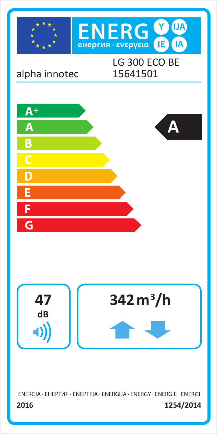

ENERGIA · EHEPFVIA · ENEPFEIA · ENERGIJA · ENERGY · ENERGIE · ENERGI 1254/2014 2016